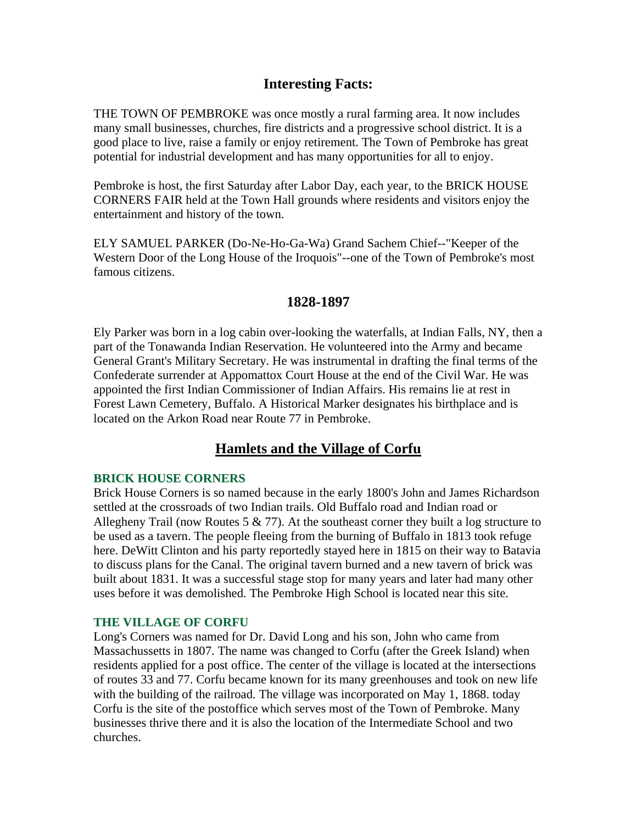# **Interesting Facts:**

THE TOWN OF PEMBROKE was once mostly a rural farming area. It now includes many small businesses, churches, fire districts and a progressive school district. It is a good place to live, raise a family or enjoy retirement. The Town of Pembroke has great potential for industrial development and has many opportunities for all to enjoy.

Pembroke is host, the first Saturday after Labor Day, each year, to the BRICK HOUSE CORNERS FAIR held at the Town Hall grounds where residents and visitors enjoy the entertainment and history of the town.

ELY SAMUEL PARKER (Do-Ne-Ho-Ga-Wa) Grand Sachem Chief--"Keeper of the Western Door of the Long House of the Iroquois"--one of the Town of Pembroke's most famous citizens.

## **1828-1897**

Ely Parker was born in a log cabin over-looking the waterfalls, at Indian Falls, NY, then a part of the Tonawanda Indian Reservation. He volunteered into the Army and became General Grant's Military Secretary. He was instrumental in drafting the final terms of the Confederate surrender at Appomattox Court House at the end of the Civil War. He was appointed the first Indian Commissioner of Indian Affairs. His remains lie at rest in Forest Lawn Cemetery, Buffalo. A Historical Marker designates his birthplace and is located on the Arkon Road near Route 77 in Pembroke.

# **Hamlets and the Village of Corfu**

## **BRICK HOUSE CORNERS**

Brick House Corners is so named because in the early 1800's John and James Richardson settled at the crossroads of two Indian trails. Old Buffalo road and Indian road or Allegheny Trail (now Routes 5  $\&$  77). At the southeast corner they built a log structure to be used as a tavern. The people fleeing from the burning of Buffalo in 1813 took refuge here. DeWitt Clinton and his party reportedly stayed here in 1815 on their way to Batavia to discuss plans for the Canal. The original tavern burned and a new tavern of brick was built about 1831. It was a successful stage stop for many years and later had many other uses before it was demolished. The Pembroke High School is located near this site.

#### **THE VILLAGE OF CORFU**

Long's Corners was named for Dr. David Long and his son, John who came from Massachussetts in 1807. The name was changed to Corfu (after the Greek Island) when residents applied for a post office. The center of the village is located at the intersections of routes 33 and 77. Corfu became known for its many greenhouses and took on new life with the building of the railroad. The village was incorporated on May 1, 1868. today Corfu is the site of the postoffice which serves most of the Town of Pembroke. Many businesses thrive there and it is also the location of the Intermediate School and two churches.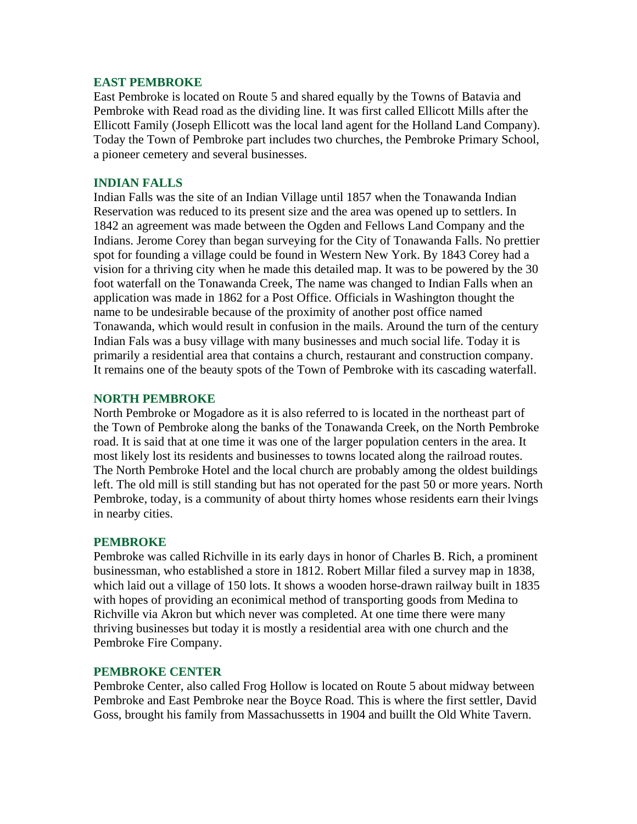### **EAST PEMBROKE**

East Pembroke is located on Route 5 and shared equally by the Towns of Batavia and Pembroke with Read road as the dividing line. It was first called Ellicott Mills after the Ellicott Family (Joseph Ellicott was the local land agent for the Holland Land Company). Today the Town of Pembroke part includes two churches, the Pembroke Primary School, a pioneer cemetery and several businesses.

### **INDIAN FALLS**

Indian Falls was the site of an Indian Village until 1857 when the Tonawanda Indian Reservation was reduced to its present size and the area was opened up to settlers. In 1842 an agreement was made between the Ogden and Fellows Land Company and the Indians. Jerome Corey than began surveying for the City of Tonawanda Falls. No prettier spot for founding a village could be found in Western New York. By 1843 Corey had a vision for a thriving city when he made this detailed map. It was to be powered by the 30 foot waterfall on the Tonawanda Creek, The name was changed to Indian Falls when an application was made in 1862 for a Post Office. Officials in Washington thought the name to be undesirable because of the proximity of another post office named Tonawanda, which would result in confusion in the mails. Around the turn of the century Indian Fals was a busy village with many businesses and much social life. Today it is primarily a residential area that contains a church, restaurant and construction company. It remains one of the beauty spots of the Town of Pembroke with its cascading waterfall.

### **NORTH PEMBROKE**

North Pembroke or Mogadore as it is also referred to is located in the northeast part of the Town of Pembroke along the banks of the Tonawanda Creek, on the North Pembroke road. It is said that at one time it was one of the larger population centers in the area. It most likely lost its residents and businesses to towns located along the railroad routes. The North Pembroke Hotel and the local church are probably among the oldest buildings left. The old mill is still standing but has not operated for the past 50 or more years. North Pembroke, today, is a community of about thirty homes whose residents earn their lvings in nearby cities.

#### **PEMBROKE**

Pembroke was called Richville in its early days in honor of Charles B. Rich, a prominent businessman, who established a store in 1812. Robert Millar filed a survey map in 1838, which laid out a village of 150 lots. It shows a wooden horse-drawn railway built in 1835 with hopes of providing an econimical method of transporting goods from Medina to Richville via Akron but which never was completed. At one time there were many thriving businesses but today it is mostly a residential area with one church and the Pembroke Fire Company.

#### **PEMBROKE CENTER**

Pembroke Center, also called Frog Hollow is located on Route 5 about midway between Pembroke and East Pembroke near the Boyce Road. This is where the first settler, David Goss, brought his family from Massachussetts in 1904 and buillt the Old White Tavern.